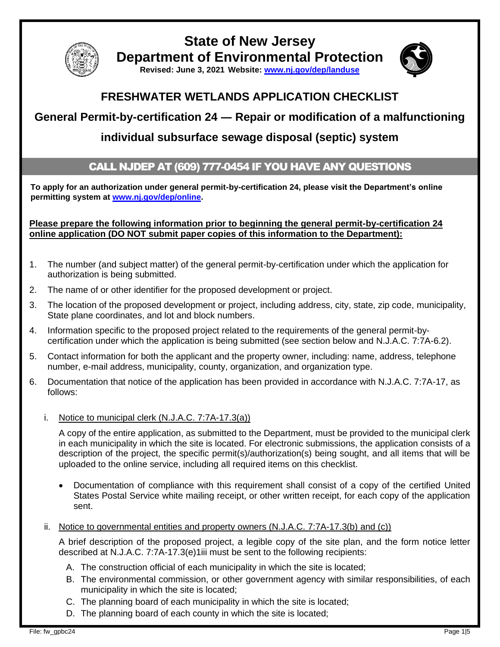

## **State of New Jersey Department of Environmental Protection**



**Revised: June 3, 2021 Website: [www.nj.gov/dep/landuse](http://www.nj.gov/dep/landuse)**

### **FRESHWATER WETLANDS APPLICATION CHECKLIST**

# **General Permit-by-certification 24 ― Repair or modification of a malfunctioning**

### **individual subsurface sewage disposal (septic) system**

#### CALL NJDEP AT (609) 777-0454 IF YOU HAVE ANY QUESTIONS

**To apply for an authorization under general permit-by-certification 24, please visit the Department's online permitting system at [www.nj.gov/dep/online.](http://www.nj.gov/dep/online)** 

**Please prepare the following information prior to beginning the general permit-by-certification 24 online application (DO NOT submit paper copies of this information to the Department):**

- 1. The number (and subject matter) of the general permit-by-certification under which the application for authorization is being submitted.
- 2. The name of or other identifier for the proposed development or project.
- 3. The location of the proposed development or project, including address, city, state, zip code, municipality, State plane coordinates, and lot and block numbers.
- 4. Information specific to the proposed project related to the requirements of the general permit-bycertification under which the application is being submitted (see section below and N.J.A.C. 7:7A-6.2).
- 5. Contact information for both the applicant and the property owner, including: name, address, telephone number, e-mail address, municipality, county, organization, and organization type.
- 6. Documentation that notice of the application has been provided in accordance with N.J.A.C. 7:7A-17, as follows:
	- i. Notice to municipal clerk (N.J.A.C. 7:7A-17.3(a))

A copy of the entire application, as submitted to the Department, must be provided to the municipal clerk in each municipality in which the site is located. For electronic submissions, the application consists of a description of the project, the specific permit(s)/authorization(s) being sought, and all items that will be uploaded to the online service, including all required items on this checklist.

- Documentation of compliance with this requirement shall consist of a copy of the certified United States Postal Service white mailing receipt, or other written receipt, for each copy of the application sent.
- ii. Notice to governmental entities and property owners  $(N.J.A.C. 7:7A-17.3(b)$  and  $(c)$ )

A brief description of the proposed project, a legible copy of the site plan, and the form notice letter described at N.J.A.C. 7:7A-17.3(e)1iii must be sent to the following recipients:

- A. The construction official of each municipality in which the site is located;
- B. The environmental commission, or other government agency with similar responsibilities, of each municipality in which the site is located;
- C. The planning board of each municipality in which the site is located;
- D. The planning board of each county in which the site is located;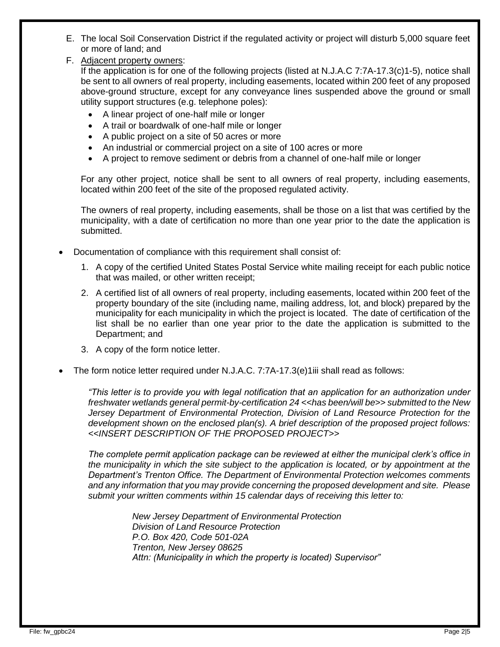- E. The local Soil Conservation District if the regulated activity or project will disturb 5,000 square feet or more of land; and
- F. Adjacent property owners:

If the application is for one of the following projects (listed at N.J.A.C 7:7A-17.3(c)1-5), notice shall be sent to all owners of real property, including easements, located within 200 feet of any proposed above-ground structure, except for any conveyance lines suspended above the ground or small utility support structures (e.g. telephone poles):

- A linear project of one-half mile or longer
- A trail or boardwalk of one-half mile or longer
- A public project on a site of 50 acres or more
- An industrial or commercial project on a site of 100 acres or more
- A project to remove sediment or debris from a channel of one-half mile or longer

For any other project, notice shall be sent to all owners of real property, including easements, located within 200 feet of the site of the proposed regulated activity.

The owners of real property, including easements, shall be those on a list that was certified by the municipality, with a date of certification no more than one year prior to the date the application is submitted.

- Documentation of compliance with this requirement shall consist of:
	- 1. A copy of the certified United States Postal Service white mailing receipt for each public notice that was mailed, or other written receipt;
	- 2. A certified list of all owners of real property, including easements, located within 200 feet of the property boundary of the site (including name, mailing address, lot, and block) prepared by the municipality for each municipality in which the project is located. The date of certification of the list shall be no earlier than one year prior to the date the application is submitted to the Department; and
	- 3. A copy of the form notice letter.
- The form notice letter required under N.J.A.C. 7:7A-17.3(e)1iii shall read as follows:

*"This letter is to provide you with legal notification that an application for an authorization under freshwater wetlands general permit-by-certification 24 <<has been/will be>> submitted to the New Jersey Department of Environmental Protection, Division of Land Resource Protection for the development shown on the enclosed plan(s). A brief description of the proposed project follows: <<INSERT DESCRIPTION OF THE PROPOSED PROJECT>>*

*The complete permit application package can be reviewed at either the municipal clerk's office in the municipality in which the site subject to the application is located, or by appointment at the Department's Trenton Office. The Department of Environmental Protection welcomes comments and any information that you may provide concerning the proposed development and site. Please submit your written comments within 15 calendar days of receiving this letter to:*

> *New Jersey Department of Environmental Protection Division of Land Resource Protection P.O. Box 420, Code 501-02A Trenton, New Jersey 08625 Attn: (Municipality in which the property is located) Supervisor"*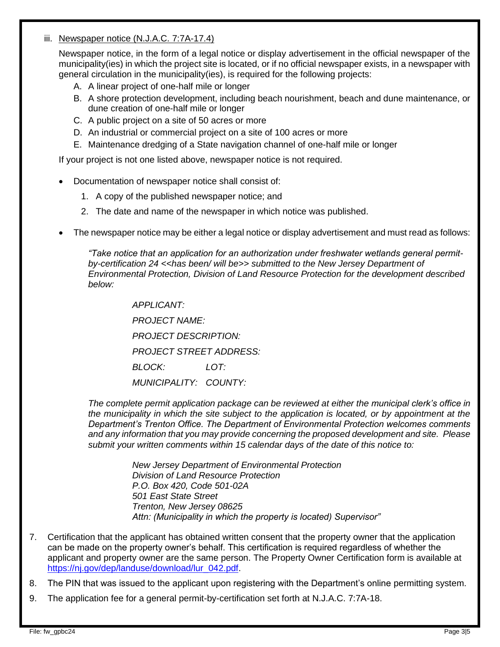#### iii. Newspaper notice (N.J.A.C. 7:7A-17.4)

Newspaper notice, in the form of a legal notice or display advertisement in the official newspaper of the municipality(ies) in which the project site is located, or if no official newspaper exists, in a newspaper with general circulation in the municipality(ies), is required for the following projects:

- A. A linear project of one-half mile or longer
- B. A shore protection development, including beach nourishment, beach and dune maintenance, or dune creation of one-half mile or longer
- C. A public project on a site of 50 acres or more
- D. An industrial or commercial project on a site of 100 acres or more
- E. Maintenance dredging of a State navigation channel of one-half mile or longer

If your project is not one listed above, newspaper notice is not required.

- Documentation of newspaper notice shall consist of:
	- 1. A copy of the published newspaper notice; and
	- 2. The date and name of the newspaper in which notice was published.
- The newspaper notice may be either a legal notice or display advertisement and must read as follows:

*"Take notice that an application for an authorization under freshwater wetlands general permitby-certification 24 <<has been/ will be>> submitted to the New Jersey Department of Environmental Protection, Division of Land Resource Protection for the development described below:*

> *APPLICANT: PROJECT NAME: PROJECT DESCRIPTION: PROJECT STREET ADDRESS: BLOCK: LOT: MUNICIPALITY: COUNTY:*

*The complete permit application package can be reviewed at either the municipal clerk's office in the municipality in which the site subject to the application is located, or by appointment at the Department's Trenton Office. The Department of Environmental Protection welcomes comments and any information that you may provide concerning the proposed development and site. Please submit your written comments within 15 calendar days of the date of this notice to:*

> *New Jersey Department of Environmental Protection Division of Land Resource Protection P.O. Box 420, Code 501-02A 501 East State Street Trenton, New Jersey 08625 Attn: (Municipality in which the property is located) Supervisor"*

- 7. Certification that the applicant has obtained written consent that the property owner that the application can be made on the property owner's behalf. This certification is required regardless of whether the applicant and property owner are the same person. The Property Owner Certification form is available at [https://nj.gov/dep/landuse/download/lur\\_042.pdf.](https://nj.gov/dep/landuse/download/lur_042.pdf)
- 8. The PIN that was issued to the applicant upon registering with the Department's online permitting system.
- 9. The application fee for a general permit-by-certification set forth at N.J.A.C. 7:7A-18.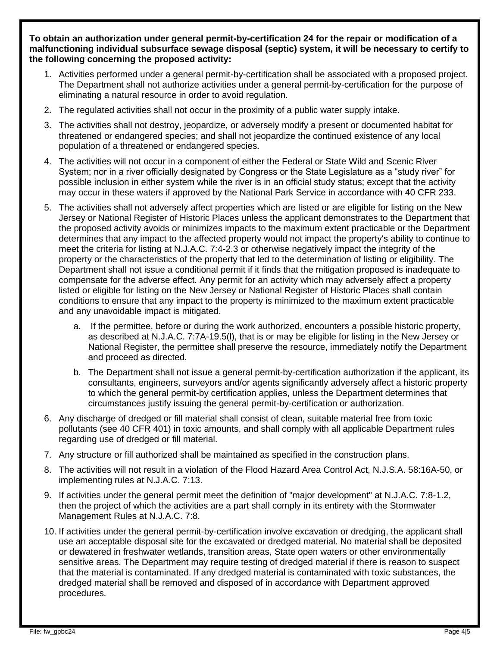**To obtain an authorization under general permit-by-certification 24 for the repair or modification of a malfunctioning individual subsurface sewage disposal (septic) system, it will be necessary to certify to the following concerning the proposed activity:**

- 1. Activities performed under a general permit-by-certification shall be associated with a proposed project. The Department shall not authorize activities under a general permit-by-certification for the purpose of eliminating a natural resource in order to avoid regulation.
- 2. The regulated activities shall not occur in the proximity of a public water supply intake.
- 3. The activities shall not destroy, jeopardize, or adversely modify a present or documented habitat for threatened or endangered species; and shall not jeopardize the continued existence of any local population of a threatened or endangered species.
- 4. The activities will not occur in a component of either the Federal or State Wild and Scenic River System; nor in a river officially designated by Congress or the State Legislature as a "study river" for possible inclusion in either system while the river is in an official study status; except that the activity may occur in these waters if approved by the National Park Service in accordance with 40 CFR 233.
- 5. The activities shall not adversely affect properties which are listed or are eligible for listing on the New Jersey or National Register of Historic Places unless the applicant demonstrates to the Department that the proposed activity avoids or minimizes impacts to the maximum extent practicable or the Department determines that any impact to the affected property would not impact the property's ability to continue to meet the criteria for listing at N.J.A.C. 7:4-2.3 or otherwise negatively impact the integrity of the property or the characteristics of the property that led to the determination of listing or eligibility. The Department shall not issue a conditional permit if it finds that the mitigation proposed is inadequate to compensate for the adverse effect. Any permit for an activity which may adversely affect a property listed or eligible for listing on the New Jersey or National Register of Historic Places shall contain conditions to ensure that any impact to the property is minimized to the maximum extent practicable and any unavoidable impact is mitigated.
	- a. If the permittee, before or during the work authorized, encounters a possible historic property, as described at N.J.A.C. 7:7A-19.5(l), that is or may be eligible for listing in the New Jersey or National Register, the permittee shall preserve the resource, immediately notify the Department and proceed as directed.
	- b. The Department shall not issue a general permit-by-certification authorization if the applicant, its consultants, engineers, surveyors and/or agents significantly adversely affect a historic property to which the general permit-by certification applies, unless the Department determines that circumstances justify issuing the general permit-by-certification or authorization.
- 6. Any discharge of dredged or fill material shall consist of clean, suitable material free from toxic pollutants (see 40 CFR 401) in toxic amounts, and shall comply with all applicable Department rules regarding use of dredged or fill material.
- 7. Any structure or fill authorized shall be maintained as specified in the construction plans.
- 8. The activities will not result in a violation of the Flood Hazard Area Control Act, N.J.S.A. 58:16A-50, or implementing rules at N.J.A.C. 7:13.
- 9. If activities under the general permit meet the definition of "major development" at N.J.A.C. 7:8-1.2, then the project of which the activities are a part shall comply in its entirety with the Stormwater Management Rules at N.J.A.C. 7:8.
- 10. If activities under the general permit-by-certification involve excavation or dredging, the applicant shall use an acceptable disposal site for the excavated or dredged material. No material shall be deposited or dewatered in freshwater wetlands, transition areas, State open waters or other environmentally sensitive areas. The Department may require testing of dredged material if there is reason to suspect that the material is contaminated. If any dredged material is contaminated with toxic substances, the dredged material shall be removed and disposed of in accordance with Department approved procedures.